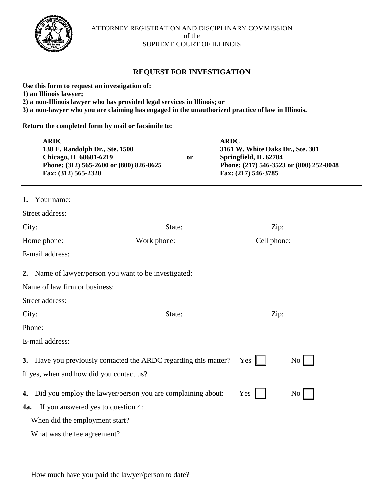

## **REQUEST FOR INVESTIGATION**

**Use this form to request an investigation of: 1) an Illinois lawyer; 2) a non-Illinois lawyer who has provided legal services in Illinois; or 3) a non-lawyer who you are claiming has engaged in the unauthorized practice of law in Illinois.** 

**Return the completed form by mail or facsimile to:**

| <b>ARDC</b><br>130 E. Randolph Dr., Ste. 1500<br>Chicago, IL 60601-6219<br>Phone: (312) 565-2600 or (800) 826-8625<br>Fax: (312) 565-2320 | <b>or</b>   | <b>ARDC</b><br>3161 W. White Oaks Dr., Ste. 301<br>Springfield, IL 62704<br>Phone: (217) 546-3523 or (800) 252-8048<br>Fax: (217) 546-3785 |                    |  |
|-------------------------------------------------------------------------------------------------------------------------------------------|-------------|--------------------------------------------------------------------------------------------------------------------------------------------|--------------------|--|
| 1. Your name:                                                                                                                             |             |                                                                                                                                            |                    |  |
| Street address:                                                                                                                           |             |                                                                                                                                            |                    |  |
| City:                                                                                                                                     | State:      | Zip:                                                                                                                                       |                    |  |
| Home phone:                                                                                                                               | Work phone: |                                                                                                                                            | Cell phone:        |  |
| E-mail address:                                                                                                                           |             |                                                                                                                                            |                    |  |
| 2. Name of lawyer/person you want to be investigated:                                                                                     |             |                                                                                                                                            |                    |  |
| Name of law firm or business:                                                                                                             |             |                                                                                                                                            |                    |  |
| Street address:                                                                                                                           |             |                                                                                                                                            |                    |  |
| City:                                                                                                                                     | State:      |                                                                                                                                            | Zip:               |  |
| Phone:                                                                                                                                    |             |                                                                                                                                            |                    |  |
| E-mail address:                                                                                                                           |             |                                                                                                                                            |                    |  |
| 3. Have you previously contacted the ARDC regarding this matter?<br>If yes, when and how did you contact us?                              |             | Yes                                                                                                                                        | $\overline{N_0}$   |  |
| 4. Did you employ the lawyer/person you are complaining about:                                                                            |             | Yes                                                                                                                                        | $\overline{N_{0}}$ |  |
| If you answered yes to question 4:<br>4a.                                                                                                 |             |                                                                                                                                            |                    |  |
| When did the employment start?                                                                                                            |             |                                                                                                                                            |                    |  |
| What was the fee agreement?                                                                                                               |             |                                                                                                                                            |                    |  |